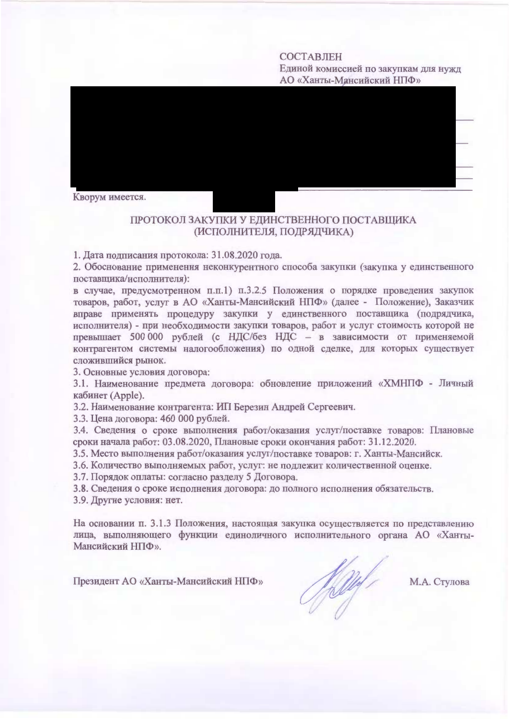#### **СОСТАВЛЕН** Единой комиссией по закупкам для нужд АО «Ханты-Мансийский НПФ»

Кворум имеется.

# ПРОТОКОЛ ЗАКУПКИ У ЕДИНСТВЕННОГО ПОСТАВЩИКА (ИСПОЛНИТЕЛЯ, ПОДРЯДЧИКА)

1. Дата подписания протокола: 31.08.2020 года.

2. Обоснование применения неконкурентного способа закупки (закупка у единственного поставщика/исполнителя):

в случае, предусмотренном п.п.1) п.3.2.5 Положения о порядке проведения закупок товаров, работ, услуг в АО «Ханты-Мансийский НПФ» (далее - Положение), Заказчик вправе применять процедуру закупки у единственного поставщика (подрядчика, исполнителя) - при необходимости закупки товаров, работ и услуг стоимость которой не превышает 500 000 рублей (с НДС/без НДС - в зависимости от применяемой контрагентом системы налогообложения) по одной сделке, для которых существует сложившийся рынок.

3. Основные условия договора:

3.1. Наименование предмета договора: обновление приложений «ХМНПФ - Личный кабинет (Apple).

3.2. Наименование контрагента: ИП Березин Андрей Сергеевич.

3.3. Цена договора: 460 000 рублей.

3.4. Сведения о сроке выполнения работ/оказания услуг/поставке товаров: Плановые сроки начала работ: 03.08.2020, Плановые сроки окончания работ: 31.12.2020.

3.5. Место выполнения работ/оказания услуг/поставке товаров: г. Ханты-Мансийск.

3.6. Количество выполняемых работ, услуг: не подлежит количественной оценке.

3.7. Порядок оплаты: согласно разделу 5 Договора.

3.8. Сведения о сроке исполнения договора: до полного исполнения обязательств.

3.9. Другие условия: нет.

На основании п. 3.1.3 Положения, настоящая закупка осуществляется по представлению лица, выполняющего функции единоличного исполнительного органа АО «Ханты-Мансийский НПФ».

Президент АО «Ханты-Мансийский НПФ»

Helly !

М.А. Стулова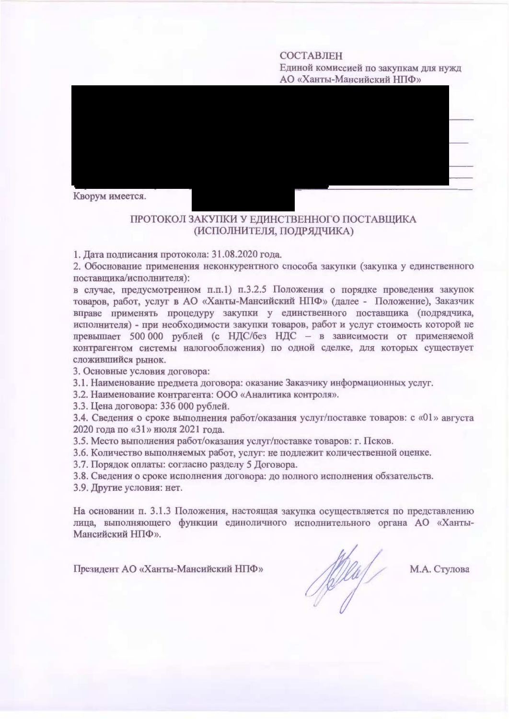### СОСТАВЛЕН

Единой комиссией по закупкам для нужд АО «Ханты-Мансийский НПФ»



# ПРОТОКОЛ ЗАКУПКИ У ЕДИНСТВЕННОГО ПОСТАВЩИКА (ИСПОЛНИТЕЛЯ, ПОДРЯДЧИКА)

1. Дата подписания протокола: 31.08.2020 года.

2. Обоснование применения неконкурентного способа закупки (закупка у единственного поставщика/исполнителя):

в случае, предусмотренном п.п.1) п.3.2.5 Положения о порядке проведения закупок товаров, работ, услуг в АО «Ханты-Мансийский НПФ» (далее - Положение), Заказчик вправе применять процедуру закупки у единственного поставщика (подрядчика, исполнителя) - при необходимости закупки товаров, работ и услуг стоимость которой не превышает 500 000 рублей (с НДС/без НДС - в зависимости от применяемой контрагентом системы налогообложения) по одной сделке, для которых существует сложившийся рынок.

3. Основные условия договора:

3.1. Наименование предмета договора: оказание Заказчику информационных услуг.

3.2. Наименование контрагента: ООО «Аналитика контроля».

3.3. Цена договора: 336 000 рублей.

3.4. Сведения о сроке выполнения работ/оказания услуг/поставке товаров: с «01» августа 2020 года по «31» июля 2021 года.

3.5. Место выполнения работ/оказания услуг/поставке товаров: г. Псков.

3.6. Количество выполняемых работ, услуг: не подлежит количественной оценке.

3.7. Порядок оплаты: согласно разделу 5 Договора.

3.8. Сведения о сроке исполнения договора: до полного исполнения обязательств.

3.9. Другие условия: нет.

На основании п. 3.1.3 Положения, настоящая закупка осуществляется по представлению лица, выполняющего функции единоличного исполнительного органа АО «Ханты-Мансийский НПФ».

Президент АО «Ханты-Мансийский НПФ»

felled /

М.А. Стулова